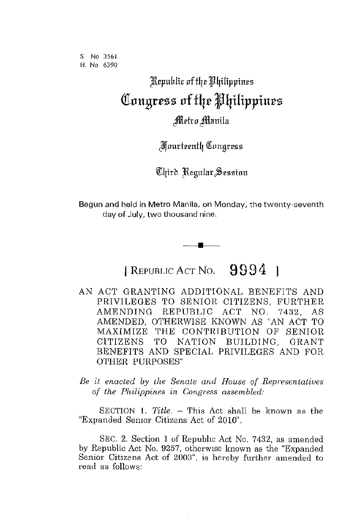S **No 3561**  H. **No 6390** 

## Republic of the Philippines **([ouguss of** f4~ J4ilippiu~s

Metro Manila

*Fourteenth Congress* 

Chird Regular Session

Begun and held in Metro Manila, on Monday, the twenty-seventh day of July, two thousand nine.

[ REPUBLIC ACT NO.  $9994$  ]

**•** 

- AN ACT GRANTING ADDITIONAL BENEFITS AND PRIVILEGES TO SENIOR CITIZENS, FURTHER AMENDING REPUBLIC ACT NO. 7432, AS AMENDED, OTHERWISE KNOWN AS "AN ACT TO MAXIMIZE THE CONTRIBUTION OF SENIOR CITIZENS TO NATION BUILDING, GRANT BENEFITS AND SPECIAL PRIVILEGES AND FOR OTHER PURPOSES"
- *Be it enacted by the Senate and House of Representatives of the Philippines in Congress assembled:*

SECTION 1. *Title.* – This Act shall be known as the "Expanded Semor Citizens Act of 2010".

SEC. 2. Section 1 of Republic Act No. 7432, as amended by Republic Act No. 9257, otherwise known as the "Expanded Senior Citizens Act of 2003", is hereby further amended to read as follows: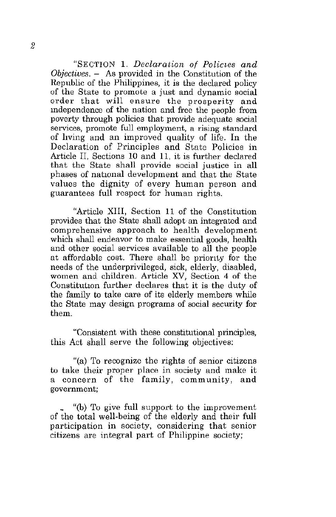"SECTION 1. *Declaration of Policies and Objectives.* - As provided in the Constitution of the Republic of the Philippines, it is the declared policy of the State to promote a just and dynamic social **order that will ensure the prosperity and**  mdependence of the nation and free the people from poverty through policies that provide adequate social services, promote full employment, a rising standard of hving and an improved quality of life. In the Declaration of Principles and State Policies in Article II, Sections 10 and 11, it is further declared that the State shall provide social justice in all phases of national development and that the State values the dignity of every human person and guarantees full respect for human rights.

"Article XIII, Section 11 of the Constitution provides that the State shall adopt, an integrated and comprehensive approach to health development which shall endeavor to make essential goods, health and other social services available to all the people at affordable cost. There shall be priority for the needs of the underprivileged, sick, elderly, disabled, women and children. Article XV, Section 4 of the Constitution further declares that it is the duty of the family to take care of its elderly members while the State may design programs of social security for them.

"Consistent with these constitutional principles, this Act shall serve the following objectives:

"(a) To recognize the rights of senior citizens to take their proper place in society and make it a concern of the family, community, and **government;** 

\_ "(b) To give full support to the improvement of the total well-being of the elderly and their full participation in society, considering that senior citizens are integral part of Philippine society;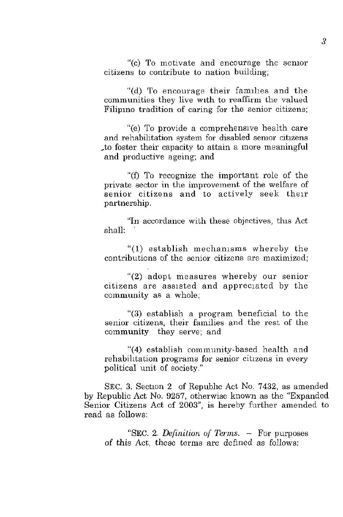"(c) To motivate and encourage the semor citizens to contribute to nation building;

"(d) To encourage their famlhes and the communities they live with to reaffirm the valued Filipino tradition of caring for the senior citizens;

"(e) To provide a comprehensIve health care and rehabilitation system for disabled semor citizens ,to foster their capacity to attain a more meaningful and productive ageing; and

"(f) To recognize the important role of the **private sector in the improvement of the welfare of**  senior citizens and to actively seek their **partnership.** 

"In accordance with these objectives, this Act shall:

"(1) establish mechamsms whereby the **contributions of the senior citizens are maximized;** 

"(2) adopt measures whereby our senior citizens are assisted and appreciated by the community as a whole;

"(3) establish a program beneficial to the senior citizens, their families and the rest of the **community they serve; and** 

"(4) establish community-based health and **rehabilItation programs for senior citizens in every**  political unit of society."

SEC. 3. Section 2 of Republic Act No. 7432, as amended by Republic Act No. 9257, otherwise known as the "Expanded Senior Citizens Act of 2003", is hereby further amended to read as follows:

"SEC. 2. *Definition of Terms.* - For purposes of this Act, these terms are defmed as follows: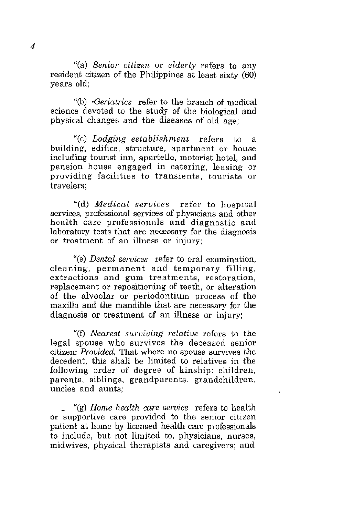"(a) *Senior citizen* or *elderly* refers to any resident citizen of the Philippines at least sixty (60) years old;

"(b) *·Geriatrics* refer to the branch of medical science devoted to the study of the biological and physical changes and the diseases of old age;

"(c) *Lodging establishment* refers to a building, edifice, structure, apartment or house including tourist inn, apartelle, motorist hotel, and pension house engaged in catering, leasing or **providing facilities to transients, tourists or**  travelers;

"(d) *Medical services* refer to hospital services, professional services of physicians and other health care professionals and diagnostic and laboratory tests that are necessary for the diagnosis or treatment of an illness or injury;

"(e) *Dental services* refer to oral examination, cleaning, permanent and temporary filling, **extractions and gum treatments, restoration,**  replacement or repositioning of teeth, or alteration of the alveolar or periodontium process of the maxilla and the mandible that are necessary for the diagnosis or treatment of an illness or injury;

"(f) *Nearest surviving relative* refers to the legal spouse who survives the deceased senior **citizen:** *Provided,* **That where no spouse survives the**  decedent, this shall be limited to relatives in the following order of degree of kinship: children, parents. siblings, grandparents, grandchildren, **uncles and aunts;** 

\_ "(g) *Home health care service* refers to health **or supportive care provided to the senior citizen**  patient at home by licensed health care professionals to include, but not limited to, physicians, nurses, midwives, physical therapists and caregivers; and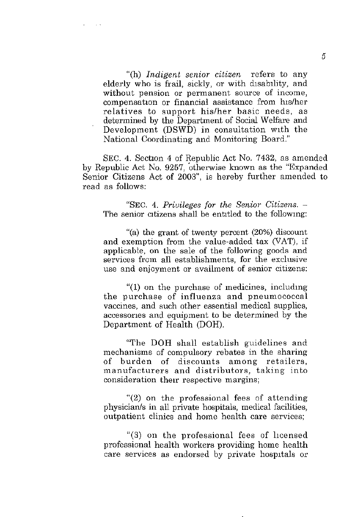"(h) *Indigent senior citizen* refers to any elderly who is frail, sickly, or with disability, and **without pension or permanent source of income,**  compensation or financial assistance from his/her relatives to support his/her basic needs, as determined by the Department of Social We!fare and Development  $(DSWD)$  in consultation with the National Coordinating and Monitoring Board."

SEC. 4. Section 4 of Republic Act No. 7432, as amended by Republic Act No. 9257, 'otherwise known as the "Expanded Senior Citizens Act of 2003", is hereby further amended to read as follows:

"SEC. 4. *Privileges for the Senior Citizens. -* The senior citizens shall be entitled to the following:

"(a) the grant of twenty percent (20%) discount and exemption from the value-added tax (VAT), if applicable, on the sale of the following goods and **services from all establishments, for the exclusive use and enjoyment or availment of senior citizens:** 

"(I) on the purchase of medicines, includmg **the purchase of influenza and pneumococcal**  vaccines, and such other essential medical supplies, accessones and equipment to be determined by the Department of Health (DOH).

"The DOH shall establish guidelines and **mechanisms of compulsory rebates in the sharing of burden of discounts among retailers, manufacturers and distributors, taking into**  consideration their respective margins;

"(2) on the professional fees of attending physician/s in all private hospitals, medical facilities, outpatient clinics and home health care services;

"(3) on the professional fees of licensed professional health workers providing home health care services as endorsed by private hospitals or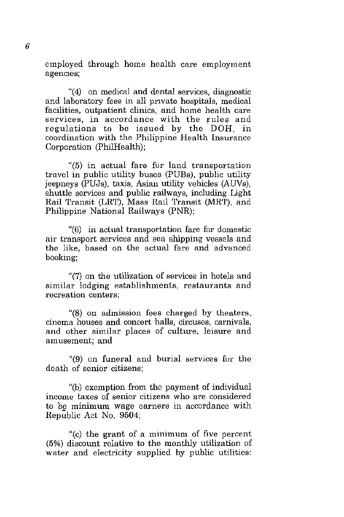employed through home health care employment **agenCIes;** 

"(4) on medical and dental services, diagnostic and laboratory fees in all private hospitals, medical facilities, outpatient clinics, and home health care **services, in accordance with the rules and**  regulations to be issued by the' DOH, in coordination with the Philippine Health Insurance Corporation (PhilHealth);

"(5) in actual fare for land transportation travel in public utility buses (PUBs), public utility jeepneys (pUJs), taxis, Asian utility vehicles (AUVs), shuttle services and public railways, including Light Rail Transit (LRT), Mass Rail Transit (MRT), and Philippine National Railways (PNR);

"(6) in actual transportation fare for domestic air transport services and sea shipping vessels and the like, based on the actual fare and advanced booking;

"(7) on the utilization of services in hotels and similar lodging establishments, restaurants and **recreation centers;** 

"(8) on admission fees charged by theaters, **cinema houses and concert halls, circuses, carnivals,**  and other similar places of culture, leisure and **amusement; and** 

"(9) on funeral and burial services for the death of senior citizens;

"(b) exemption from the payment of individual **income taxes of senior citizens who are considered**  to be minimum wage earners in accordance with Republic Act No. 9504;

"(c) the grant of a minimum of five percent (5%) discount relative to the monthly utilization of water and electricity supplied by public utilities: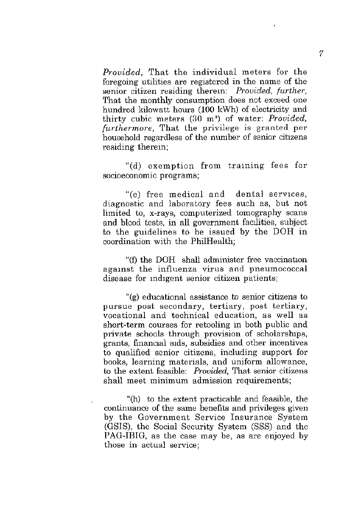*Provided,* That the individual meters for the **foregoing utilities are registered in the name of the**  senior citizen residing therem: *Provided, further,*  That the monthly consumption does not exceed one hundred kilowatt hours (100 kWh) of electricity and thirty cubic meters (30 m<sup>3</sup>) of water: *Provided*, *furthermore,* That the privilege is granted per household regardless of the number of senior citizens residing therein;

"(d) exemption from traming fees for **socioeconomic programs;** 

"(e) free medical and dental services, diagnostic and laboratory fees such as, but not limited to, x-rays, computerized tomography scans and blood tests, in all government facilities, subject to the guidelines to be issued by the DOH in coordination with the PhilHealth;

"(f) the DOH shall administer free vaccination against the influenza virus and pneumococcal **disease for IndIgent senior citizen patients;** 

"(g) educational assistance to senior citizens to **pursue post secondary, tertiary, post tertiary, vocational and technical education, as well as**  short-term courses for retooling in both public and private schools through provision of scholarships, **grants, finanCial alds, subsidies and other incentives**  to qualified senior citizens, including support for **books, learning materials, and uniform allowance,**  to the extent feasible: *Provided,* That senior citizens shall meet minimum admission requirements;

"(h) to the extent practicable and feasible, the continuance of the same benefits and privileges given by the Government Service Insurance System (GSIS), the Social Security System (SSS) and the PAG-IBIG, as the case may be, as are enjoyed by **those in actual service;**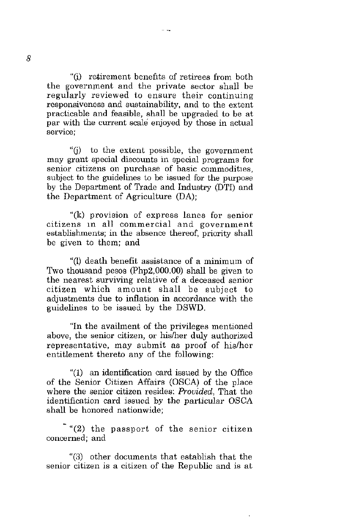"(i) retirement benefIts of retirees from both the government and the private sector shall be regularly reviewed to ensure their continuing responsiveness and sustainability, and to the extent practicable and feasible, shall be upgraded to be at par with the current scale enjoyed by those in actual **service;** 

"(j) to the extent possible, the government **may grant special discounts in special programs for**  senior citizens on purchase of basic commodities. subject to the guidelines to be issued for the purpose by the Department of Trade and Industry (DTI) and the Department of Agriculture (DA);

"(k) provision of express lanes for senior **citizens In all commercial and government**  establishments; in the absence thereof, priority shall be given to them; and

"(I) death benefit assistance of a minimum of Two thousand pesos (Php2,OOO.OO) shall be given to the nearest surviving relative of a deceased senior citizen which amount shall be subject to adjustments due to inflation in accordance with the guidelines to be issued by the DSWD.

"In the availment of the privi1eges mentioned above, the senior citizen, or hislher duly authorized representative, may submit as proof of his/her entitlement thereto any of the following:

"(1) an identification card issued by the Office of the Senior Citizen Mfairs (OSCA) of the place where the senior citizen resides: *Provided,* That the identification card issued by the particular OSCA shall be honored nationwide;

"(2) the passport of the senior citizen **concerned; and** 

"(3) other documents that establish that the **senior citizen is a citizen of the Republic and is at**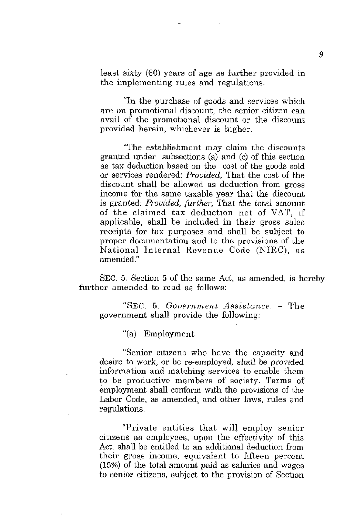least sixty (60) years of age as further provided in the implementing rules and regulations.

المستوفيات

"In the purchase of goods and services which **are on promotional discount, the senior citizen can**  avail of the promotional discount or the discount **provided herein, whichever is higher.** 

"The establishment may claim the discounts granted under subsections (a) and (c) of this section as tax deduction based on the cost of the goods sold or services rendered: *Provided,* That the cost of the discount shall be allowed as deduction from gross income for the same taxable year that the discount is granted: *Provided, further,* That the total amount of the claimed tax deduction net of VAT, if applicable, shall be included in their gross sales receipts for tax purposes and shall be subject to proper documentation and to the provisions of the National Internal Revenue Code (NIRC), as amended."

SEC. 5. Section 5 of the same Act, as amended, is hereby further amended to read as follows:

"SEC. 5. *Government Assistance.* - The government shall provide the following:

"(a) Employment

"Senior citizens who have the capacity and desire to work, or be re-employed, shall be provided information and matching services to enable them to be productive members of society. Terms of employment shall conform with the provisions of the Labor Code, as amended, and other laws, rules and regulations.

"Private entities that will employ senior cibzens as employees, upon the effectivity of this Act, shall be entitled to an additional deduction from their gross income, equivalent to fifteen percent (15%) of the total amount paid as salaries and wages to senior citizens, subject to the provision of Section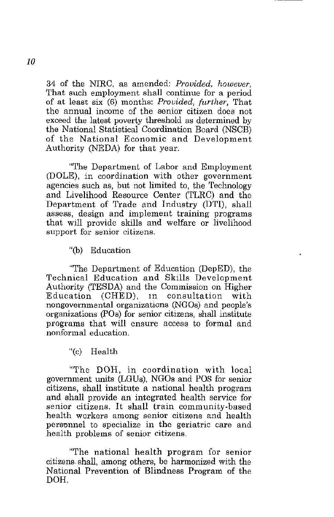34 of the NIRC, as amended: *Provided, however,*  That such employment shall continue for a period of at least six (6) months: *Provided, (n,ther,* That the annual income of the senior citizen does not exceed the latest poverty threshold as determined by the National Statistical Coordination Board (NSCB) of the National Economic and Development Authority (NEDA) for that year.

"The Department of Labor and Employment (DOLE), in coordination with other government agencies such as, but not limited to, the Technology and Livelihood Resource Center (TLRC) and the Department of Trade and Industry (DTI), shall **assess, design and implement training programs**  that will provide skills and welfare or livelihood **support for senior citizens.** 

"(b) Education

"The Department of Education (DepED), the Technical Education and Skills Development Authority (TESDA) and the Commission on Higher Education (CHED), in consultation with nongovernmental organizations (NGOs) and people's organizations (POs) for senior citizens, shall institute programs that will ensure access to formal and  $nonformal$  education.

"(c) Health

"The DOH, in coordination with local government units (LGUs), NGOs and POS for senior citizens, shall institute a national health program and shall provide an integrated health service for senior citizens. It shall train community-based **health workers among senior citizens and health personnel to specialize in the geriatric care and**  health problems of senior citizens.

"The national health program for senior citizens. shall, among others, be harmonized with the National Prevention of Blindness Program of the DOH.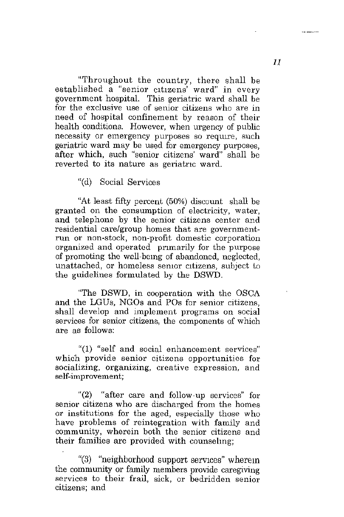"Throughout the country, there shall be established a "senior citizens<sup>"</sup> ward" in every government hospital. This geriatric ward shall be **for the exclusive use of senior citizens who are in**  need of hospital confinement by reason of their health conditions. However, when urgency of public necessity or emergency purposes so require, such geriatric ward may be used for emergency purposes, after which, such "senior citizens' ward" shall be **reverted to its nature as geriatnc ward.** 

"(d) Social Services

"At least fifty percent (50%) discount shall be **granted on the consumption of electricity, water, and telephone by the senior citizens center and residential care/group homes that are governmentrun or non-stock, non-profit domestic corporation**  organized and operated primarily for the purpose of promoting the well-bemg of abandoned, neglected, unattached, or homeless semor citizens, subject to the guidelines formulated by the DSWD.

"The DSWD, in cooperation with the OSCA and the LGUs, NGOs and POs for senior citizens, shall develop and implement programs on social services for senior citizens, the components of which are as follows:

**"(1) "self and social enhancement services" which provide senior citizens opportunities for socializing, organizing, creative expression, and self-improvement;** 

"(2) "after care and follow-up services" for **senior citizens who are discharged from the homes**  or institutions for the aged, especially those who have problems of reintegration with family and **community, wherein both the senior citizens and**  their families are provided with counselmg;

"(3) "neighborhood support services" wherem the community or family members provide caregiving **services to their frail, sick, or bedridden senior citizens; and** 

11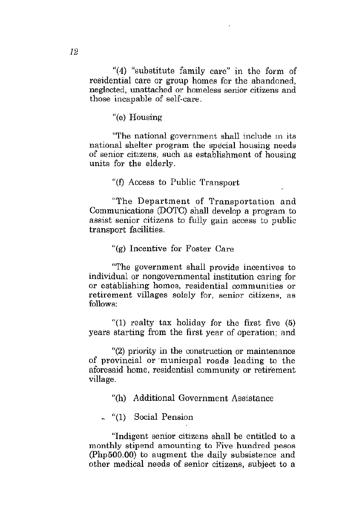"(4) "substitute family care" in the form of residential care or group homes for the abandoned, neglected, unattached or homeless senior citizens and those incapable of self-care.

"(e) Housing

"The national government shall include in its national shelter program the special housing needs of senior citIzens, such as establishment of housing units for the elderly.

"(f) Access to Public Transport

"The Department of Transportation and Communications (DOTC) shall develop a program to assist senior citizens to fully gain access to public transport facilities.

"(g) Incentive for Foster Care

"The government shall provide incentives to individual or nongovernmental institution caring for **or establishing homes, residential communities or retirement villages solely for, senior citizens, as**  follows:

"(1) realty tax holiday for the first five  $(5)$ years starting from the first year of operation; and

"(2) priority in the construction or maintenance of provincial or municipal roads leading to the aforesaid home, residential community or retirement village.

"(h) Additional Government Assistance

\_ "(\) Social Pension

"Indigent senior citizens shall be entitled to a monthly stipend amounting to Five hundred pesos (Php500.00) to augment the daily subsistence and other medical needs of senior citizens, subject to a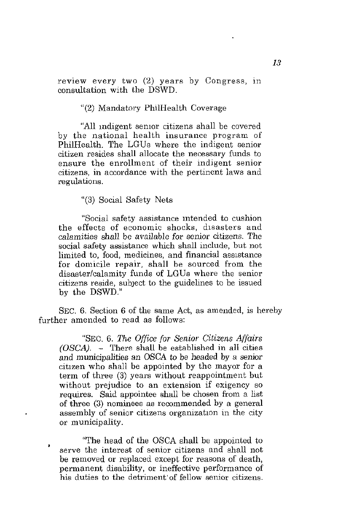review every two (2) years by Congress, in consultation with the DSWD.

"(2) Mandatory PhilHealth Coverage

"All indigent senior citizens shall be covered by the national health insurance program of PhilHealth. The LGUs where the indigent senior citizen resides shall allocate the necessary funds to **ensure the enrollment of their indigent senior citizens, in accordance with the pertinent laws and regulations.** 

"(3) Social Safety Nets

"Social safety assistance intended to cushion the effects of economic shocks, dlsasters and calamities shall be available for senior citizens. The social safety assistance which shall include, but not limited to, food, medicines, and financial assistance for domicile repair, shall be sourced from the disaster/calamity funds of LGUs where the senior citizens reside, subject to the guidelines to be issued by the DSWD."

SEC. 6. Section 6 of the same Act, as amended, is hereby further amended to read as follows:

"SEC, 6, *The O((ice (or Senior Citizens Af(airs (OSCA).* - There shall be established in all cities and municipalities an OSCA to be headed by a senior citizen who shall be appointed by the mayor for a term of three (3) years without reappointment but without prejudice to an extension if exigency so requires. Said appointee shall be chosen from a list of three (3) nominees as recommended by a general assembly of senior citizens organization in the city or municipality.

"The head of the OSCA shall be appointed to **serve the interest of senior citizens and shall not**  be removed or replaced except for reasons of death, permanent disability, or ineffective performance of **his duties to the** detriment' of **fellow senior citizens.**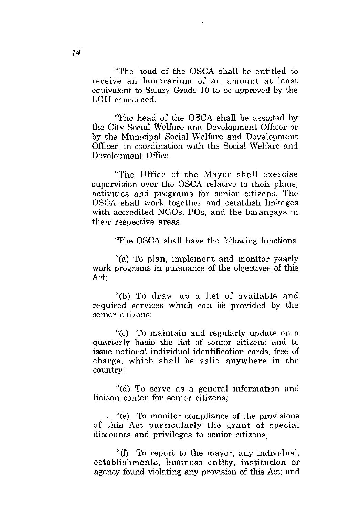"The head of the OSCA shall be entitled to **receive an honorarium of an amount at least**  equivalent to Salary Grade 10 to be approved by the LGU concerned.

"The head of the OSCA shall be assisted by the City Social Welfare and Development Officer or by the Municipal Social Welfare and Development Officer, in coordination with the Social Welfare and Development Office.

"The Office of the Mayor shall exercise supervision over the OSCA relative to their plans, activities and programs for senior citizens. The OSCA shall work together and establish linkages with accredited NGOs, POs, and the barangays in their respective areas.

"The OSCA shall have the following functions:

"(a) To plan, implement and monitor yearly work programs in pursuance of the objectives of this Act;

"(b) To draw up a list of available and required services which can be provided by the **senior citizens;** 

"(c) To maintain and regularly update on a quarterly basis the list of senior citizens and to issue national individual identification cards, free of charge, which shall be valid anywhere in the country;

"(d) To serve as a general information and **liaison center for senior citizens;** 

\_ "(e) To monitor compliance of the provisions of this Act particularly the grant of special **discounts and privileges to senior citizens;** 

"(f) To report to the mayor, any individual, establishments, business entity, institution or agency found violating any provision of this Act; and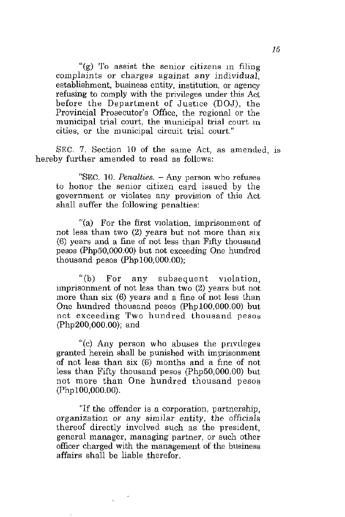**"(g) To assist the senior citizens In filing**  complaints or charges against any individual, estahlishment, business entity, institution, or agency refusing to comply with the privileges under this Act before the Department of Justice (DOJ), the Provincial Prosecutor's Office, the regional or the municipal trial court, the municipal trial court in **cities, or the municipal circuit trial court."** 

SEC. 7. Section 10 of the same Act, as amended, is hereby further amended to read as follows:

**"SEC. 10.** *Penalties.* **- Any person who refuses**  to honor the senior citizen card issued by the **government or violates any provision of this Act**  shall suffer the following penalties:

"(a) For the first violation, imprisonment of not less than two (2) years but not more than six (6) years and a fine of not less than Flfty thousand pesos (Php50,OOO.OO) but not exceeding One hundred thousand pesos  $(Php100,000.00)$ ;

"(b) For any subsequent violation, imprisonment of not less than two (2) years but not more than six (6) years and a fine of not less than One hundred thousand pesos (Php100,OOO.OO) but not exceeding Two hundred thousand pesos (Php200,OOO.OO); and

"(c) Any person who abuses the pnvlleges granted herein shall be punished with imprisonment of not less than six (6) months and a fme of not less than Fifty thousand pesos (Php50,OOO.OO) but not mare than One hundred thousand pesos (PhplOO,OOO.OO).

"If the offender is a corporation, partnership, organization or any similar entity, the officials thereof directly involved such as the president, general manager, managing partner, or such other officer charged with the management of the business affairs shall be liable therefor.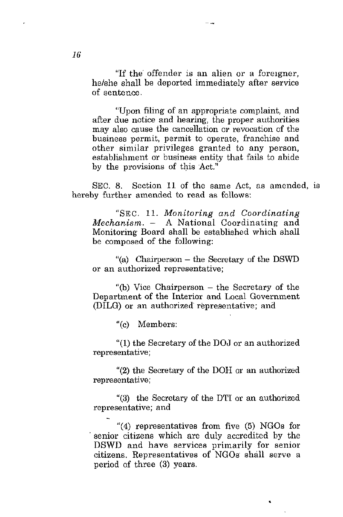"If the offender is an alien or a foreigner, he/she shall be deported immediately after service of sentence.

 $-$ 

"Upon filing of an appropriate complaint, and after due notice and hearing, the proper authorities may also cause the cancellation or revocation of the business permit, permit to operate, franchise and other similar privileges granted to any person, establishment or business entity that fails to abide by the provisions of this Act."

SEC. 8. Section 11 of the same Act, as amended, is hereby further amended to read as follows:

"SEC. 11. *Monitoring and Coordinating Mechanism.* - A National Coordinating and Monitoring Board shall be established which shall be composed of the following:

"(a) Chairperson - the Secretary of the DSWD **or an authorized representative;** 

"(b) Vice Chairperson  $-$  the Secretary of the Department of the Interior and Local Government (DILG) or an authorized' representative; and

"(c) Members:

"(1) the Secretary of the DOJ or an authorized **representative;** 

"(2) the Secretary of the DOH or an authorized **representative;** 

"(3) the Secretary of the DTI or an authorized representative; and

"(4) representatives from five (5) NGOs for . senior citizens which are duly accredited by the DSWD and have services primarily for senior citizens. Representatives of NGOs shall serve a period of three (3) years.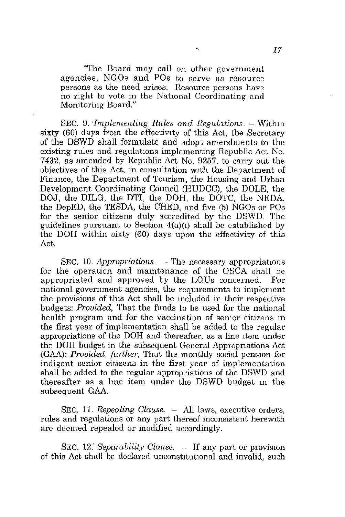"The Board may call on other government agencies, NGOs and POs to serve as resource **persons as the need arises. Resource persons have**  no right to vote in the National Coordinating and Monitoring Board."

÷

SEC. 9. *Implementing Rules and Regulations.* – Within sixty (60) days from the effectivity of this Act, the Secretary of the DSWD shall formulate and adopt amendments to the existing rules and regulations implementing Republic Act No. 7432, as amended by Republic Act No. 9257, to carry out the objectives of this Act, in consultation WIth the Department of Finance, the Department of Tourism, the Housing and Urban Development Coordinating Council (HUDCC), the DOLE, the DOJ, the DILG, the DTI, the DOH, the DOTC, the NEDA, the DepED, the TESDA, the CHED, and five (5) NGOs or POs for the senior citizens duly accredited by the DSWD. The guidelines pursuant to Section  $4(a)(1)$  shall be established by the DOH within sixty (60) days upon the effectivity of this Act.

SEC. 10. *Appropriations.* - The necessary appropriations for the operation and maintenance of the OSCA shall be appropriated and approved by the LGUs concerned. For **national government agencies, the reqUIrements to implement**  the provisions of this Act shall be included in their respective budgets: *Provided,* That the funds to be used for the national health program and for the vaccination of senior citizens m the first year of implementation shall be added to the regular appropriations of the DOH and thereafter, as a line Item under the DOH budget in the subsequent General Appropnations Act (GAA): *Provided, further,* That the monthly social pension for **indigent senior citizens in the first year of implementation**  shall be added to the regular appropriations of the DSWD and thereafter as a Ime item under the DSWD budget m the subsequent GAA.

SEC. 11. *Repealing Clause.* - All laws, executive orders, **rules and regulations or any part thereof inconsistent herewith**  are deemed repealed or modified accordingly.

SEC. 12. *Separability Clause.* - If any part or provision of this Act shall be declared unconstitutional and invalid, such